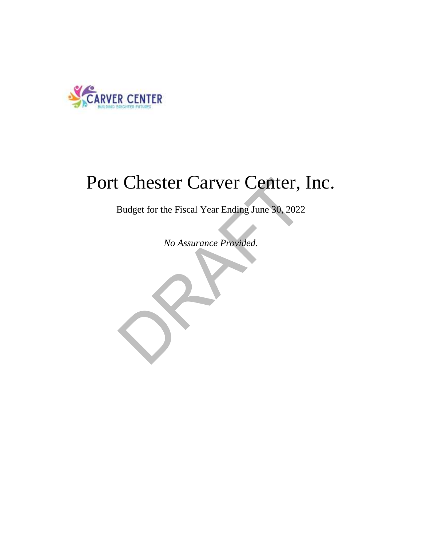

## Port Chester Carver Center, Inc.

Budget for the Fiscal Year Ending June 30, 2022

*No Assurance Provided.*

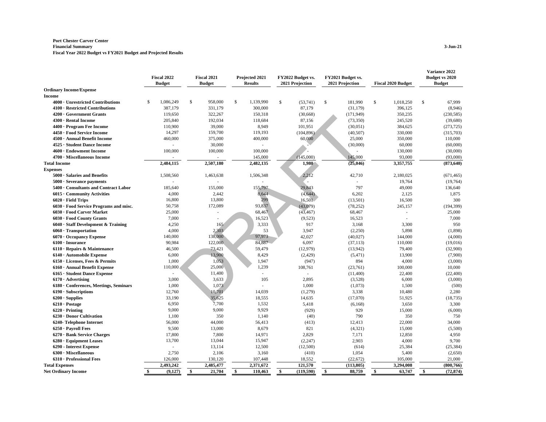## **Port Chester Carver Center Financial Summary 3-Jun-21**

**Fiscal Year 2022 Budget vs FY2021 Budget and Projected Results**

|                                        | Fiscal 2022 |               | Fiscal 2021 |               | Projected 2021 |                | FY2022 Budget vs.<br>2021 Projection |            | FY2021 Budget vs. | <b>Fiscal 2020 Budget</b> |           | Variance 2022<br>Budget vs 2020 |               |
|----------------------------------------|-------------|---------------|-------------|---------------|----------------|----------------|--------------------------------------|------------|-------------------|---------------------------|-----------|---------------------------------|---------------|
| <b>Ordinary Income/Expense</b>         |             | <b>Budget</b> |             | <b>Budget</b> |                | <b>Results</b> |                                      |            | 2021 Projection   |                           |           |                                 | <b>Budget</b> |
| Income                                 |             |               |             |               |                |                |                                      |            |                   |                           |           |                                 |               |
| 4000 · Unrestricted Contributions      | \$          | 1,086,249     | \$          | 958,000       | \$             | 1,139,990      | \$                                   | (53,741)   | \$<br>181,990     | \$                        | 1,018,250 | \$                              | 67,999        |
| 4100 · Restricted Contributions        |             | 387,179       |             | 331.179       |                | 300,000        |                                      | 87,179     | (31, 179)         |                           | 396,125   |                                 | (8,946)       |
| 4200 · Government Grants               |             | 119,650       |             | 322,267       |                | 150,318        |                                      | (30,668)   | (171, 949)        |                           | 350,235   |                                 | (230, 585)    |
| 4300 · Rental Income                   |             | 205,840       |             | 192,034       |                | 118,684        |                                      | 87,156     | (73,350)          |                           | 245,520   |                                 | (39,680)      |
| 4400 · Program Fee Income              |             | 110,900       |             | 39,000        |                | 8,949          |                                      | 101,951    | (30,051)          |                           | 384,625   |                                 | (273, 725)    |
| 4450 · Food Service Income             |             | 14,297        |             | 159,700       |                | 119,193        |                                      | (104, 896) | (40, 507)         |                           | 330,000   |                                 | (315,703)     |
| 4500 · Annual Benefit Income           |             | 460,000       |             | 375,000       |                | 400,000        |                                      | 60,000     | 25,000            |                           | 350,000   |                                 | 110,000       |
| 4525 · Student Dance Income            |             | $\sim$        |             | 30,000        |                | ÷.             |                                      |            | (30,000)          |                           | 60,000    |                                 | (60,000)      |
| 4600 · Endowment Income                |             | 100,000       |             | 100,000       |                | 100,000        |                                      |            |                   |                           | 130,000   |                                 | (30,000)      |
| 4700 · Miscellaneous Income            |             |               |             |               |                | 145,000        |                                      | (145,000)  | 145,000           |                           | 93,000    |                                 | (93,000)      |
| <b>Total Income</b>                    |             | 2,484,115     |             | 2,507,180     |                | 2,482,135      |                                      | 1,980      | (25, 046)         |                           | 3,357,755 |                                 | (873, 640)    |
| <b>Expenses</b>                        |             |               |             |               |                |                |                                      |            |                   |                           |           |                                 |               |
| $5000 \cdot$ Salaries and Benefits     |             | 1,508,560     |             | 1,463,638     |                | 1,506,348      |                                      | 2,212      | 42,710            |                           | 2,180,025 |                                 | (671, 465)    |
| $5000 \cdot$ Severance payments        |             |               |             |               |                |                |                                      |            |                   |                           | 19,764    |                                 | (19,764)      |
| 5400 Consultants and Contract Labor    |             | 185,640       |             | 155,000       |                | 155,797        |                                      | 29,843     | 797               |                           | 49,000    |                                 | 136,640       |
| 6015 · Community Activities            |             | 4,000         |             | 2,442         |                | 8,644          |                                      | (4, 644)   | 6,202             |                           | 2,125     |                                 | 1,875         |
| $6020 \cdot$ Field Trips               |             | 16,800        |             | 13,800        |                | 299            |                                      | 16,501     | (13,501)          |                           | 16,500    |                                 | 300           |
| 6030 · Food Service Programs and misc. |             | 50,758        |             | 172,089       |                | 93,837         |                                      | (43,079)   | (78, 252)         |                           | 245,157   |                                 | (194, 399)    |
| 6030 · Food Carver Market              |             | 25,000        |             |               |                | 68,467         |                                      | (43, 467)  | 68,467            |                           |           |                                 | 25,000        |
| 6030 · Food County Grants              |             | 7,000         |             |               |                | 16,523         |                                      | (9,523)    | 16,523            |                           |           |                                 | 7,000         |
| 6040 · Staff Development & Training    |             | 4,250         |             | 165           |                | 3,333          |                                      | 917        | 3,168             |                           | 3,300     |                                 | 950           |
| $6060 \cdot$ Transportation            |             | 4,000         |             | 2,303         |                | 53             |                                      | 3.947      | (2,250)           |                           | 5,898     |                                 | (1,898)       |
| $6070 \cdot$ Occupancy Expense         |             | 140,000       |             | 138,000       |                | 97,973         |                                      | 42,027     | (40,027)          |                           | 144,000   |                                 | (4,000)       |
| $6100 \cdot$ Insurance                 |             | 90,984        |             | 122,000       |                | 84,887         |                                      | 6,097      | (37, 113)         |                           | 110,000   |                                 | (19,016)      |
| $6110 \cdot$ Repairs & Maintenance     |             | 46,500        |             | 73,421        |                | 59,479         |                                      | (12, 979)  | (13,942)          |                           | 79,400    |                                 | (32,900)      |
| $6140 \cdot$ Automobile Expense        |             | 6,000         |             | 13,900        |                | 8,429          |                                      | (2, 429)   | (5, 471)          |                           | 13,900    |                                 | (7,900)       |
| $6150 \cdot$ Licenses, Fees & Permits  |             | 1,000         |             | 1,053         |                | 1,947          |                                      | (947)      | 894               |                           | 4,000     |                                 | (3,000)       |
| 6160 · Annual Benefit Expense          |             | 110,000       |             | 25,000        |                | 1,239          |                                      | 108,761    | (23,761)          |                           | 100,000   |                                 | 10,000        |
| 6165 · Student Dance Expense           |             |               |             | 11,400        |                | ÷.             |                                      | ÷.         | (11,400)          |                           | 22,400    |                                 | (22, 400)     |
| $6170 \cdot$ Advertising               |             | 3,000         |             | 3,633         |                | 105            |                                      | 2,895      | (3,528)           |                           | 6,000     |                                 | (3,000)       |
| 6180 · Conferences, Meetings, Seminars |             | 1,000         |             | 1,073         |                |                |                                      | 1,000      | (1,073)           |                           | 1,500     |                                 | (500)         |
| $6190 \cdot$ Subscriptions             |             | 12,760        |             | 10,701        |                | 14,039         |                                      | (1,279)    | 3,338             |                           | 10,480    |                                 | 2,280         |
| $6200 \cdot$ Supplies                  |             | 33,190        |             | 35,625        |                | 18,555         |                                      | 14,635     | (17,070)          |                           | 51,925    |                                 | (18, 735)     |
| $6210 \cdot \text{Postage}$            |             | 6,950         |             | 7,700         |                | 1,532          |                                      | 5,418      | (6, 168)          |                           | 3,650     |                                 | 3,300         |
| $6220 \cdot \text{Pritting}$           |             | 9,000         |             | 9,000         |                | 9,929          |                                      | (929)      | 929               |                           | 15,000    |                                 | (6,000)       |
| 6230 · Donor Cultivation               |             | 1,100         |             | 350           |                | 1,140          |                                      | (40)       | 790               |                           | 350       |                                 | 750           |
| 6240- Telephone Internet               |             | 56,000        |             | 44,000        |                | 56,413         |                                      | (413)      | 12,413            |                           | 22,000    |                                 | 34,000        |
| $6250 \cdot$ Payroll Fees              |             | 9,500         |             | 13,000        |                | 8,679          |                                      | 821        | (4,321)           |                           | 15,000    |                                 | (5,500)       |
| 6270 · Bank Service Charges            |             | 17,800        |             | 7,800         |                | 14,971         |                                      | 2,829      | 7,171             |                           | 12,850    |                                 | 4,950         |
| $6280 \cdot$ Equipment Leases          |             | 13,700        |             | 13,044        |                | 15,947         |                                      | (2, 247)   | 2,903             |                           | 4,000     |                                 | 9.700         |
| 6290 - Interest Expense                |             |               |             | 13,114        |                | 12,500         |                                      | (12,500)   | (614)             |                           | 25,384    |                                 | (25, 384)     |
| $6300 \cdot$ Miscellaneous             |             | 2,750         |             | 2,106         |                | 3,160          |                                      | (410)      | 1,054             |                           | 5,400     |                                 | (2,650)       |
| 6310 · Professional Fees               |             | 126,000       |             | 130,120       |                | 107,448        |                                      | 18,552     | (22, 672)         |                           | 105,000   |                                 | 21,000        |
| <b>Total Expenses</b>                  |             | 2,493,242     |             | 2,485,477     |                | 2,371,672      |                                      | 121,570    | (113, 805)        |                           | 3,294,008 |                                 | (800, 766)    |
| <b>Net Ordinary Income</b>             | \$          | (9,127)       | \$          | 21,704        | \$             | 110,463        | \$                                   | (119,590)  | \$<br>88,759      | \$                        | 63,747    | \$                              | (72, 874)     |